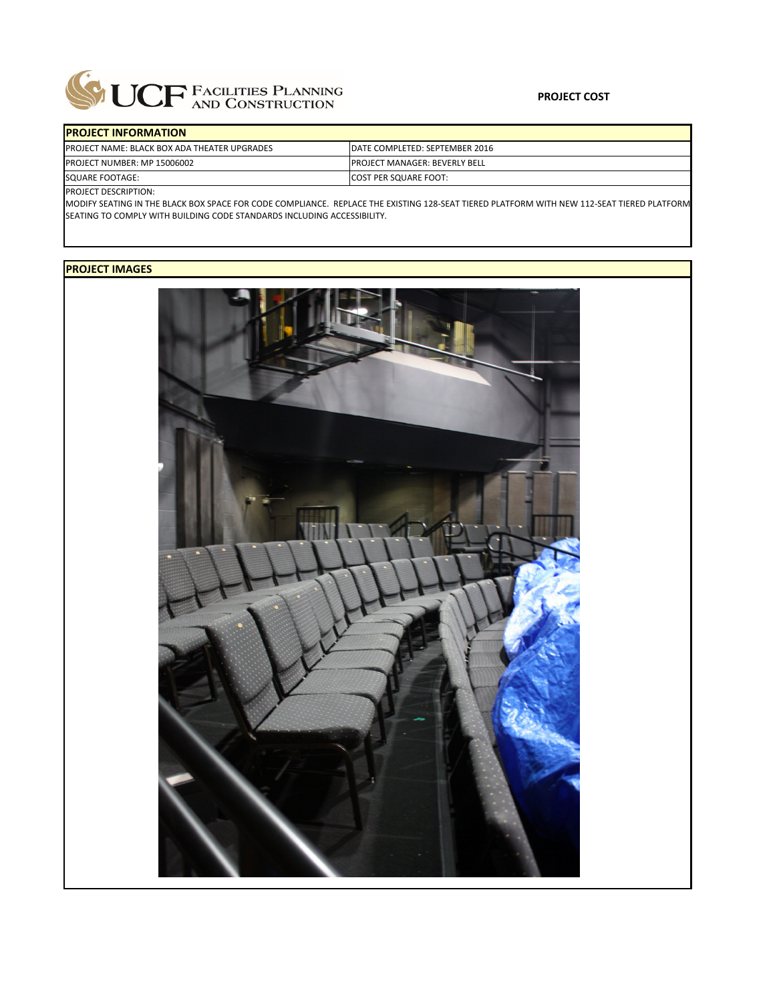

| <b>IPROJECT INFORMATION</b>                         |                                       |
|-----------------------------------------------------|---------------------------------------|
| <b>PROJECT NAME: BLACK BOX ADA THEATER UPGRADES</b> | IDATE COMPLETED: SEPTEMBER 2016       |
| <b>PROJECT NUMBER: MP 15006002</b>                  | <b>IPROJECT MANAGER: BEVERLY BELL</b> |
| <b>SOUARE FOOTAGE:</b>                              | <b>COST PER SQUARE FOOT:</b>          |
| $R_{\text{D}}$                                      |                                       |

PROJECT DESCRIPTION:

MODIFY SEATING IN THE BLACK BOX SPACE FOR CODE COMPLIANCE. REPLACE THE EXISTING 128‐SEAT TIERED PLATFORM WITH NEW 112‐SEAT TIERED PLATFORM SEATING TO COMPLY WITH BUILDING CODE STANDARDS INCLUDING ACCESSIBILITY.

## **PROJECT IMAGES**